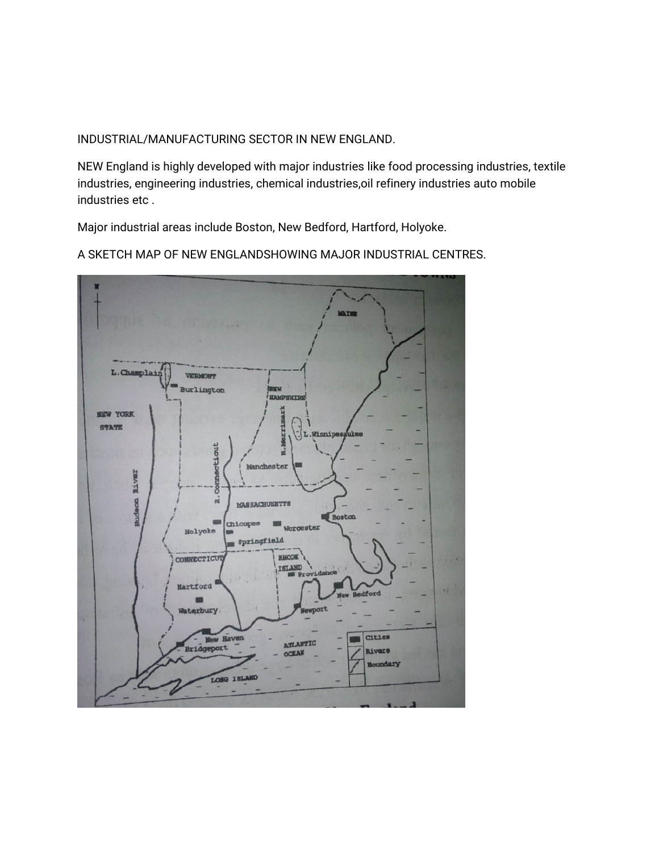INDUSTRIAL/MANUFACTURING SECTOR IN NEW ENGLAND.

NEW England is highly developed with major industries like food processing industries, textile industries, engineering industries, chemical industries, oil refinery industries auto mobile industries etc.

Major industrial areas include Boston, New Bedford, Hartford, Holyoke.



A SKETCH MAP OF NEW ENGLANDSHOWING MAJOR INDUSTRIAL CENTRES.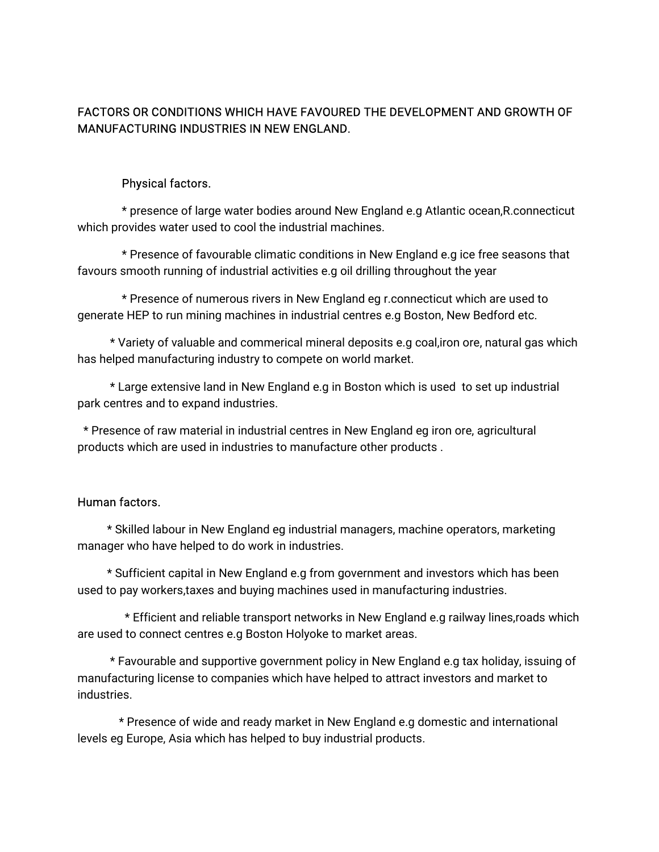# FACTORS OR CONDITIONS WHICH HAVE FAVOURED THE DEVELOPMENT AND GROWTH OF MANUFACTURING INDUSTRIES IN NEW ENGLAND.

#### Physical factors.

\* presence of large water bodies around New England e.g Atlantic ocean, R.connecticut which provides water used to cool the industrial machines.

\* Presence of favourable climatic conditions in New England e.g ice free seasons that favours smooth running of industrial activities e.g oil drilling throughout the year

\* Presence of numerous rivers in New England eg r.connecticut which are used to generate HEP to run mining machines in industrial centres e.g Boston, New Bedford etc.

\* Variety of valuable and commerical mineral deposits e.g coal, iron ore, natural gas which has helped manufacturing industry to compete on world market.

\* Large extensive land in New England e.g in Boston which is used to set up industrial park centres and to expand industries.

\* Presence of raw material in industrial centres in New England eg iron ore, agricultural products which are used in industries to manufacture other products.

#### Human factors.

\* Skilled labour in New England eg industrial managers, machine operators, marketing manager who have helped to do work in industries.

\* Sufficient capital in New England e.g from government and investors which has been used to pay workers,taxes and buying machines used in manufacturing industries.

\* Efficient and reliable transport networks in New England e.g railway lines,roads which are used to connect centres e.g Boston Holyoke to market areas.

\* Favourable and supportive government policy in New England e.g tax holiday, issuing of manufacturing license to companies which have helped to attract investors and market to industries.

\* Presence of wide and ready market in New England e.g domestic and international levels eg Europe, Asia which has helped to buy industrial products.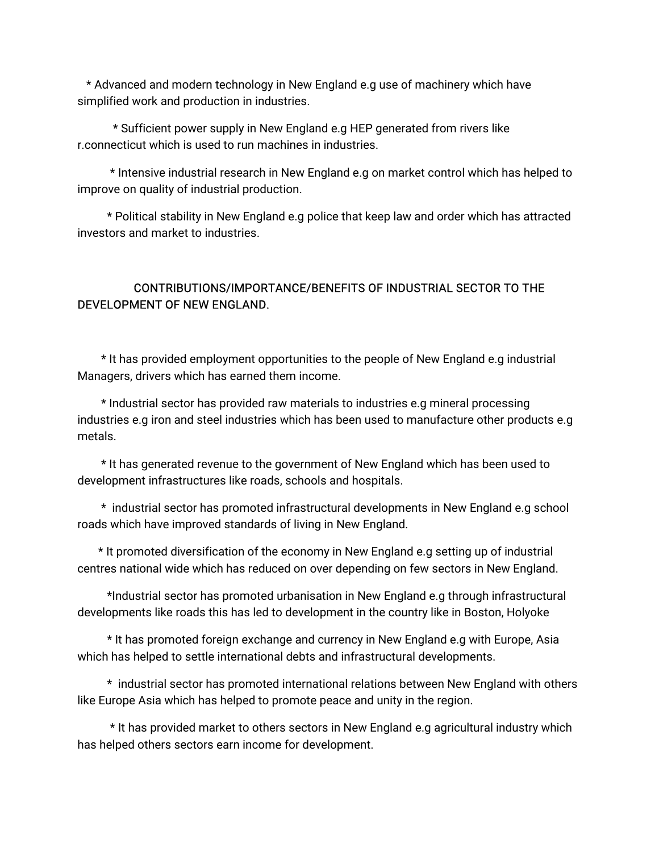\*AdvancedandmoderntechnologyinNewEnglande.guseofmachinerywhichhave simplified work and production in industries.

\* Sufficient power supply in New England e.g HEP generated from rivers like r.connecticut which is used to run machines in industries.

\* Intensive industrial research in New England e.g on market control which has helped to improve on quality of industrial production.

\* Political stability in New England e.g police that keep law and order which has attracted investors and market to industries.

# CONTRIBUTIONS/IMPORTANCE/BENEFITSOFINDUSTRIALSECTORTOTHE DEVELOPMENT OF NEW FNGLAND.

\* It has provided employment opportunities to the people of New England e.g industrial Managers, drivers which has earned them income.

\* Industrial sector has provided raw materials to industries e.g mineral processing industries e.g iron and steel industries which has been used to manufacture other products e.g metals.

\* It has generated revenue to the government of New England which has been used to development infrastructures like roads, schools and hospitals.

\* industrial sector has promoted infrastructural developments in New England e.g school roads which have improved standards of living in New England.

\* It promoted diversification of the economy in New England e.g setting up of industrial centres national wide which has reduced on over depending on few sectors in New England.

\*Industrial sector has promoted urbanisation in New England e.g through infrastructural developments like roads this has led to development in the country like in Boston, Holyoke

\* It has promoted foreign exchange and currency in New England e.g with Europe, Asia which has helped to settle international debts and infrastructural developments.

\* industrial sector has promoted international relations between New England with others like Europe Asia which has helped to promote peace and unity in the region.

\* It has provided market to others sectors in New England e.g agricultural industry which has helped others sectors earn income for development.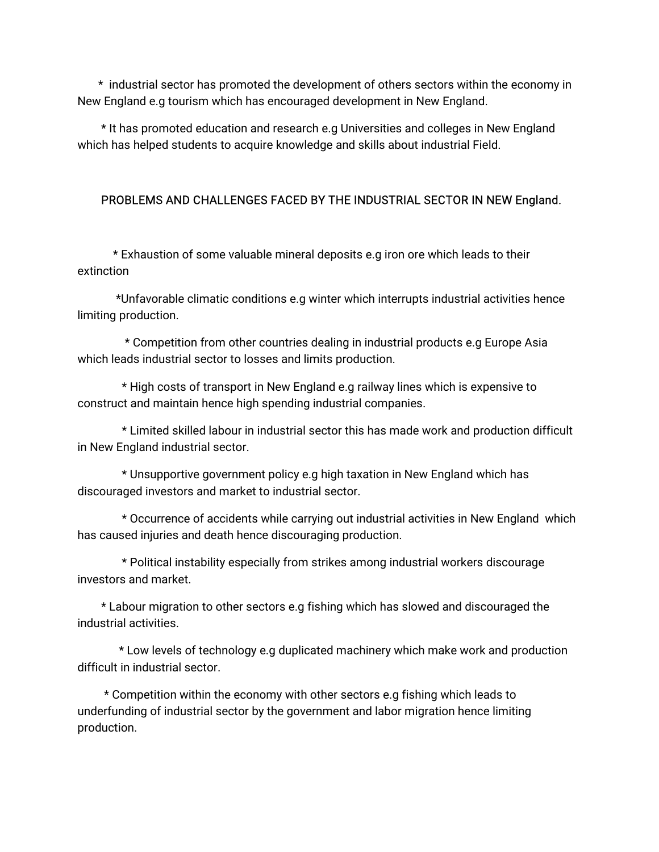\* industrial sector has promoted the development of others sectors within the economy in New England e.g tourism which has encouraged development in New England.

\*Ithaspromotededucationandresearche.gUniversitiesandcollegesinNewEngland which has helped students to acquire knowledge and skills about industrial Field.

## PROBLEMS AND CHALLENGES FACED BY THE INDUSTRIAL SECTOR IN NEW England.

\*Exhaustionofsomevaluablemineraldepositse.gironorewhichleadstotheir extinction

\*Unfavorableclimaticconditionse.gwinterwhichinterruptsindustrialactivitieshence limiting production.

\* Competition from other countries dealing in industrial products e.g Europe Asia which leads industrial sector to losses and limits production.

\*HighcostsoftransportinNewEnglande.grailwaylineswhichisexpensiveto construct and maintain hence high spending industrial companies.

\* Limited skilled labour in industrial sector this has made work and production difficult in New England industrial sector.

\* Unsupportive government policy e.g high taxation in New England which has discouraged investors and market to industrial sector.

\* Occurrence of accidents while carrying out industrial activities in New England which has caused injuries and death hence discouraging production.

\* Political instability especially from strikes among industrial workers discourage investors and market.

\* Labour migration to other sectors e.g fishing which has slowed and discouraged the industrial activities.

\* Low levels of technology e.g duplicated machinery which make work and production difficult in industrial sector.

\* Competition within the economy with other sectors e.g fishing which leads to underfunding of industrial sector by the government and labor migration hence limiting production.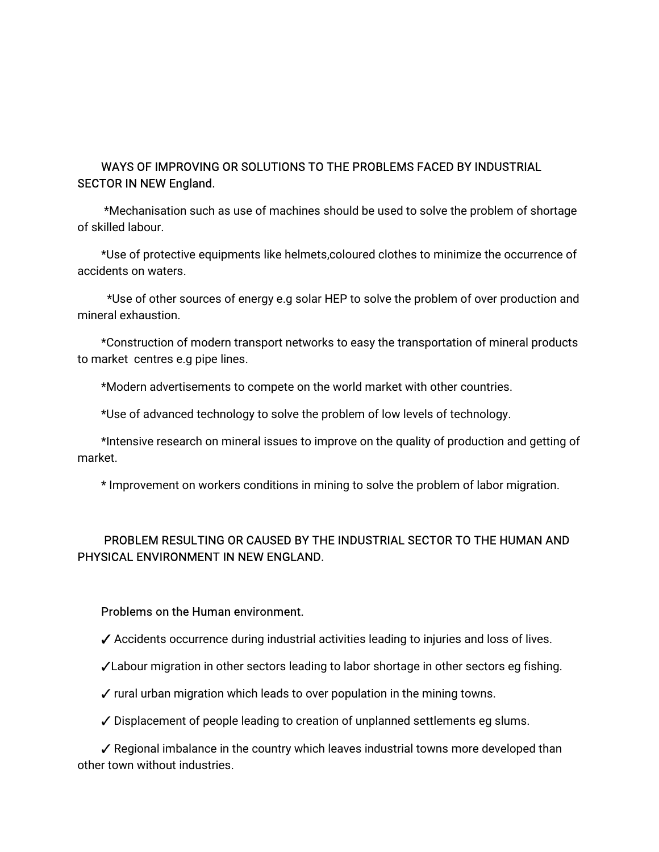## WAYS OF IMPROVING OR SOLUTIONS TO THE PROBLEMS FACED BY INDUSTRIAL **SECTOR IN NEW England.**

\*Mechanisation such as use of machines should be used to solve the problem of shortage ofskilledlabour.

\*Use of protective equipments like helmets,coloured clothes to minimize the occurrence of accidents on waters.

\*Use of other sources of energy e.g solar HEP to solve the problem of over production and mineral exhaustion.

\*Construction of modern transport networks to easy the transportation of mineral products to market centres e.g pipe lines.

\*Modern advertisements to compete on the world market with other countries.

\*Use of advanced technology to solve the problem of low levels of technology.

\*Intensive research on mineral issues to improve on the quality of production and getting of market.

\* Improvement on workers conditions in mining to solve the problem of labor migration.

# PROBLEM RESULTING OR CAUSED BY THE INDUSTRIAL SECTOR TO THE HUMAN AND PHYSICAL ENVIRONMENT IN NEW ENGLAND.

#### Problems on the Human environment.

- $\checkmark$  Accidents occurrence during industrial activities leading to injuries and loss of lives.
- √Labour migration in other sectors leading to labor shortage in other sectors eg fishing.
- $\checkmark$  rural urban migration which leads to over population in the mining towns.
- ✓ Displacement of people leading to creation of unplanned settlements eg slums.

 $\checkmark$  Regional imbalance in the country which leaves industrial towns more developed than other town without industries